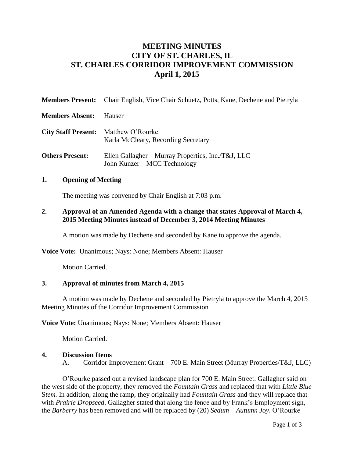# **MEETING MINUTES CITY OF ST. CHARLES, IL ST. CHARLES CORRIDOR IMPROVEMENT COMMISSION April 1, 2015**

| <b>Members Present:</b>                     | Chair English, Vice Chair Schuetz, Potts, Kane, Dechene and Pietryla               |
|---------------------------------------------|------------------------------------------------------------------------------------|
| <b>Members Absent:</b>                      | Hauser                                                                             |
| <b>City Staff Present:</b> Matthew O'Rourke | Karla McCleary, Recording Secretary                                                |
| <b>Others Present:</b>                      | Ellen Gallagher - Murray Properties, Inc./T&J, LLC<br>John Kunzer – MCC Technology |

#### **1. Opening of Meeting**

The meeting was convened by Chair English at 7:03 p.m.

#### **2. Approval of an Amended Agenda with a change that states Approval of March 4, 2015 Meeting Minutes instead of December 3, 2014 Meeting Minutes**

A motion was made by Dechene and seconded by Kane to approve the agenda.

**Voice Vote:** Unanimous; Nays: None; Members Absent: Hauser

Motion Carried.

#### **3. Approval of minutes from March 4, 2015**

A motion was made by Dechene and seconded by Pietryla to approve the March 4, 2015 Meeting Minutes of the Corridor Improvement Commission

**Voice Vote:** Unanimous; Nays: None; Members Absent: Hauser

Motion Carried.

#### **4. Discussion Items**

A. Corridor Improvement Grant – 700 E. Main Street (Murray Properties/T&J, LLC)

O'Rourke passed out a revised landscape plan for 700 E. Main Street. Gallagher said on the west side of the property, they removed the *Fountain Grass* and replaced that with *Little Blue* S*tem.* In addition, along the ramp, they originally had *Fountain Grass* and they will replace that with *Prairie Dropseed*. Gallagher stated that along the fence and by Frank's Employment sign, the *Barberry* has been removed and will be replaced by (20) *Sedum – Autumn Joy*. O'Rourke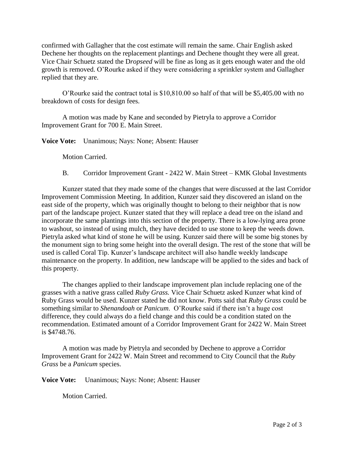confirmed with Gallagher that the cost estimate will remain the same. Chair English asked Dechene her thoughts on the replacement plantings and Dechene thought they were all great. Vice Chair Schuetz stated the D*ropseed* will be fine as long as it gets enough water and the old growth is removed. O'Rourke asked if they were considering a sprinkler system and Gallagher replied that they are.

O'Rourke said the contract total is \$10,810.00 so half of that will be \$5,405.00 with no breakdown of costs for design fees.

A motion was made by Kane and seconded by Pietryla to approve a Corridor Improvement Grant for 700 E. Main Street.

**Voice Vote:** Unanimous; Nays: None; Absent: Hauser

Motion Carried.

B. Corridor Improvement Grant - 2422 W. Main Street – KMK Global Investments

Kunzer stated that they made some of the changes that were discussed at the last Corridor Improvement Commission Meeting. In addition, Kunzer said they discovered an island on the east side of the property, which was originally thought to belong to their neighbor that is now part of the landscape project. Kunzer stated that they will replace a dead tree on the island and incorporate the same plantings into this section of the property. There is a low-lying area prone to washout, so instead of using mulch, they have decided to use stone to keep the weeds down. Pietryla asked what kind of stone he will be using. Kunzer said there will be some big stones by the monument sign to bring some height into the overall design. The rest of the stone that will be used is called Coral Tip. Kunzer's landscape architect will also handle weekly landscape maintenance on the property. In addition, new landscape will be applied to the sides and back of this property.

The changes applied to their landscape improvement plan include replacing one of the grasses with a native grass called *Ruby Grass.* Vice Chair Schuetz asked Kunzer what kind of Ruby Grass would be used. Kunzer stated he did not know. Potts said that *Ruby Grass* could be something similar to *Shenandoah* or *Panicum*. O'Rourke said if there isn't a huge cost difference, they could always do a field change and this could be a condition stated on the recommendation. Estimated amount of a Corridor Improvement Grant for 2422 W. Main Street is \$4748.76.

A motion was made by Pietryla and seconded by Dechene to approve a Corridor Improvement Grant for 2422 W. Main Street and recommend to City Council that the *Ruby Grass* be a *Panicum* species.

**Voice Vote:** Unanimous; Nays: None; Absent: Hauser

Motion Carried.